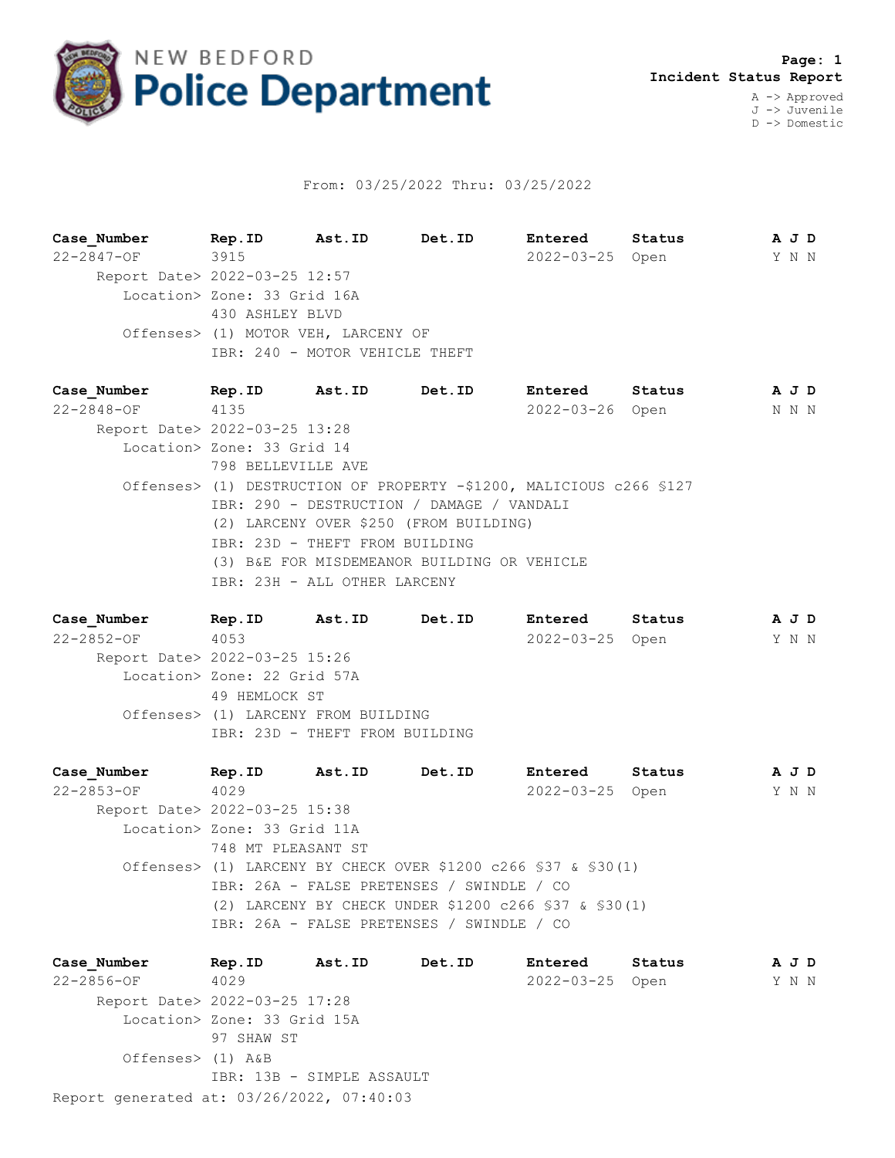

## From: 03/25/2022 Thru: 03/25/2022

**Case\_Number Rep.ID Ast.ID Det.ID Entered Status A J D** 22-2847-OF 3915 2022-03-25 Open Y N N Report Date> 2022-03-25 12:57 Location> Zone: 33 Grid 16A 430 ASHLEY BLVD Offenses> (1) MOTOR VEH, LARCENY OF IBR: 240 - MOTOR VEHICLE THEFT

**Case\_Number Rep.ID Ast.ID Det.ID Entered Status A J D** 22-2848-OF 4135 2022-03-26 Open N N N Report Date> 2022-03-25 13:28 Location> Zone: 33 Grid 14 798 BELLEVILLE AVE Offenses> (1) DESTRUCTION OF PROPERTY -\$1200, MALICIOUS c266 §127 IBR: 290 - DESTRUCTION / DAMAGE / VANDALI (2) LARCENY OVER \$250 (FROM BUILDING) IBR: 23D - THEFT FROM BUILDING (3) B&E FOR MISDEMEANOR BUILDING OR VEHICLE IBR: 23H - ALL OTHER LARCENY

**Case\_Number Rep.ID Ast.ID Det.ID Entered Status A J D** 22-2852-OF 4053 2022-03-25 Open Y N N Report Date> 2022-03-25 15:26 Location> Zone: 22 Grid 57A 49 HEMLOCK ST Offenses> (1) LARCENY FROM BUILDING IBR: 23D - THEFT FROM BUILDING

**Case\_Number Rep.ID Ast.ID Det.ID Entered Status A J D** 22-2853-OF 4029 2022-03-25 Open Y N N Report Date> 2022-03-25 15:38 Location> Zone: 33 Grid 11A 748 MT PLEASANT ST Offenses> (1) LARCENY BY CHECK OVER \$1200 c266 §37 & §30(1) IBR: 26A - FALSE PRETENSES / SWINDLE / CO (2) LARCENY BY CHECK UNDER \$1200 c266 §37 & §30(1) IBR: 26A - FALSE PRETENSES / SWINDLE / CO

Report generated at: 03/26/2022, 07:40:03 **Case\_Number Rep.ID Ast.ID Det.ID Entered Status A J D** 22-2856-OF 4029 2022-03-25 Open Y N N Report Date> 2022-03-25 17:28 Location> Zone: 33 Grid 15A 97 SHAW ST Offenses> (1) A&B IBR: 13B - SIMPLE ASSAULT